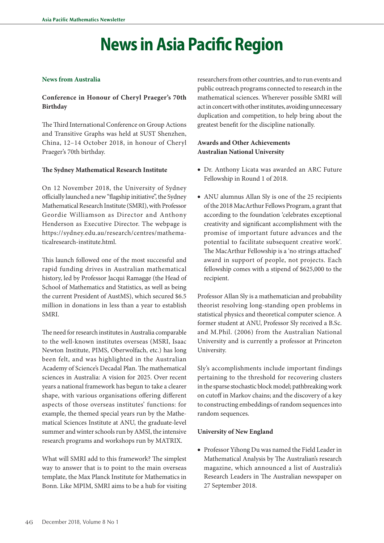# **News in Asia Pacific Region**

#### **News from Australia**

# **Conference in Honour of Cheryl Praeger's 70th Birthday**

The Third International Conference on Group Actions and Transitive Graphs was held at SUST Shenzhen, China, 12–14 October 2018, in honour of Cheryl Praeger's 70th birthday.

## **The Sydney Mathematical Research Institute**

On 12 November 2018, the University of Sydney officially launched a new "flagship initiative", the Sydney Mathematical Research Institute (SMRI), with Professor Geordie Williamson as Director and Anthony Henderson as Executive Director. The webpage is https://sydney.edu.au/research/centres/mathematicalresearch-institute.html.

This launch followed one of the most successful and rapid funding drives in Australian mathematical history, led by Professor Jacqui Ramagge (the Head of School of Mathematics and Statistics, as well as being the current President of AustMS), which secured \$6.5 million in donations in less than a year to establish SMRI.

The need for research institutes in Australia comparable to the well-known institutes overseas (MSRI, Isaac Newton Institute, PIMS, Oberwolfach, etc.) has long been felt, and was highlighted in the Australian Academy of Science's Decadal Plan. The mathematical sciences in Australia: A vision for 2025. Over recent years a national framework has begun to take a clearer shape, with various organisations offering different aspects of those overseas institutes' functions: for example, the themed special years run by the Mathematical Sciences Institute at ANU, the graduate-level summer and winter schools run by AMSI, the intensive research programs and workshops run by MATRIX.

What will SMRI add to this framework? The simplest way to answer that is to point to the main overseas template, the Max Planck Institute for Mathematics in Bonn. Like MPIM, SMRI aims to be a hub for visiting

researchers from other countries, and to run events and public outreach programs connected to research in the mathematical sciences. Wherever possible SMRI will act in concert with other institutes, avoiding unnecessary duplication and competition, to help bring about the greatest benefit for the discipline nationally.

## **Awards and Other Achievements Australian National University**

- Dr. Anthony Licata was awarded an ARC Future Fellowship in Round 1 of 2018.
- ANU alumnus Allan Sly is one of the 25 recipients of the 2018 MacArthur Fellows Program, a grant that according to the foundation 'celebrates exceptional creativity and significant accomplishment with the promise of important future advances and the potential to facilitate subsequent creative work'. The MacArthur Fellowship is a 'no strings attached' award in support of people, not projects. Each fellowship comes with a stipend of \$625,000 to the recipient.

Professor Allan Sly is a mathematician and probability theorist resolving long-standing open problems in statistical physics and theoretical computer science. A former student at ANU, Professor Sly received a B.Sc. and M.Phil. (2006) from the Australian National University and is currently a professor at Princeton University.

Sly's accomplishments include important findings pertaining to the threshold for recovering clusters in the sparse stochastic block model; pathbreaking work on cutoff in Markov chains; and the discovery of a key to constructing embeddings of random sequences into random sequences.

#### **University of New England**

• Professor Yihong Du was named the Field Leader in Mathematical Analysis by The Australian's research magazine, which announced a list of Australia's Research Leaders in The Australian newspaper on 27 September 2018.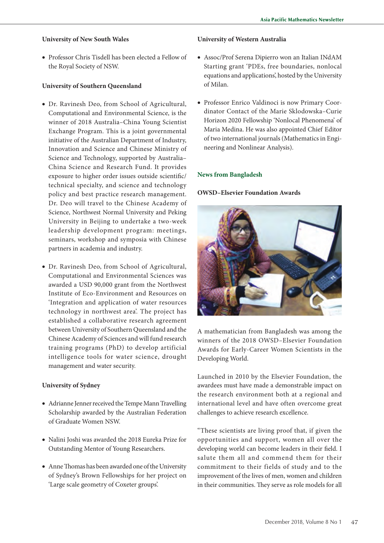## **University of New South Wales**

• Professor Chris Tisdell has been elected a Fellow of the Royal Society of NSW.

## **University of Southern Queensland**

- Dr. Ravinesh Deo, from School of Agricultural, Computational and Environmental Science, is the winner of 2018 Australia–China Young Scientist Exchange Program. This is a joint governmental initiative of the Australian Department of Industry, Innovation and Science and Chinese Ministry of Science and Technology, supported by Australia– China Science and Research Fund. It provides exposure to higher order issues outside scientific/ technical specialty, and science and technology policy and best practice research management. Dr. Deo will travel to the Chinese Academy of Science, Northwest Normal University and Peking University in Beijing to undertake a two-week leadership development program: meetings, seminars, workshop and symposia with Chinese partners in academia and industry.
- Dr. Ravinesh Deo, from School of Agricultural, Computational and Environmental Sciences was awarded a USD 90,000 grant from the Northwest Institute of Eco-Environment and Resources on 'Integration and application of water resources technology in northwest area'. The project has established a collaborative research agreement between University of Southern Queensland and the Chinese Academy of Sciences and will fund research training programs (PhD) to develop artificial intelligence tools for water science, drought management and water security.

## **University of Sydney**

- Adrianne Jenner received the Tempe Mann Travelling Scholarship awarded by the Australian Federation of Graduate Women NSW.
- Nalini Joshi was awarded the 2018 Eureka Prize for Outstanding Mentor of Young Researchers.
- Anne Thomas has been awarded one of the University of Sydney's Brown Fellowships for her project on 'Large scale geometry of Coxeter groups'.

#### **University of Western Australia**

- Assoc/Prof Serena Dipierro won an Italian INdAM Starting grant 'PDEs, free boundaries, nonlocal equations and applications', hosted by the University of Milan.
- Professor Enrico Valdinoci is now Primary Coordinator Contact of the Marie Sklodowska–Curie Horizon 2020 Fellowship 'Nonlocal Phenomena' of Maria Medina. He was also appointed Chief Editor of two international journals (Mathematics in Engineering and Nonlinear Analysis).

#### **News from Bangladesh**

#### **OWSD–Elsevier Foundation Awards**



A mathematician from Bangladesh was among the winners of the 2018 OWSD–Elsevier Foundation Awards for Early-Career Women Scientists in the Developing World.

Launched in 2010 by the Elsevier Foundation, the awardees must have made a demonstrable impact on the research environment both at a regional and international level and have often overcome great challenges to achieve research excellence.

"These scientists are living proof that, if given the opportunities and support, women all over the developing world can become leaders in their field. I salute them all and commend them for their commitment to their fields of study and to the improvement of the lives of men, women and children in their communities. They serve as role models for all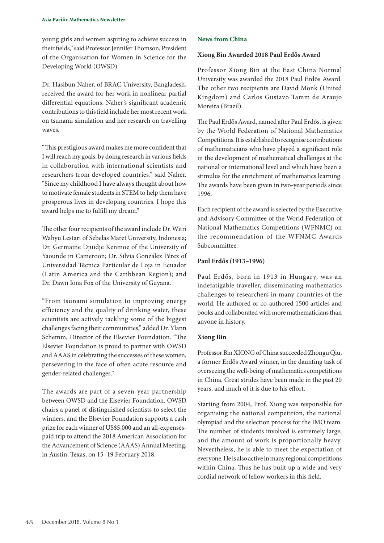young girls and women aspiring to achieve success in their fields," said Professor Jennifer Thomson, President of the Organisation for Women in Science for the Developing World (OWSD).

Dr. Hasibun Naher, of BRAC University, Bangladesh, received the award for her work in nonlinear partial differential equations. Naher's significant academic contributions to this field include her most recent work on tsunami simulation and her research on travelling waves.

"This prestigious award makes me more confident that I will reach my goals, by doing research in various fields in collaboration with international scientists and researchers from developed countries," said Naher. "Since my childhood I have always thought about how to motivate female students in STEM to help them have prosperous lives in developing countries. I hope this award helps me to fulfill my dream."

The other four recipients of the award include Dr. Witri Wahyu Lestari of Sebelas Maret University, Indonesia; Dr. Germaine Djuidje Kenmoe of the University of Yaounde in Cameroon; Dr. Silvia González Pérez of Universidad Técnica Particular de Loja in Ecuador (Latin America and the Caribbean Region); and Dr. Dawn Iona Fox of the University of Guyana.

"From tsunami simulation to improving energy efficiency and the quality of drinking water, these scientists are actively tackling some of the biggest challenges facing their communities," added Dr. Ylann Schemm, Director of the Elsevier Foundation. "The Elsevier Foundation is proud to partner with OWSD and AAAS in celebrating the successes of these women, persevering in the face of often acute resource and gender-related challenges."

The awards are part of a seven-year partnership between OWSD and the Elsevier Foundation. OWSD chairs a panel of distinguished scientists to select the winners, and the Elsevier Foundation supports a cash prize for each winner of US\$5,000 and an all-expensespaid trip to attend the 2018 American Association for the Advancement of Science (AAAS) Annual Meeting, in Austin, Texas, on 15–19 February 2018.

#### **News from China**

#### **Xiong Bin Awarded 2018 Paul Erdős Award**

Professor Xiong Bin at the East China Normal University was awarded the 2018 Paul Erdős Award. The other two recipients are David Monk (United Kingdom) and Carlos Gustavo Tamm de Araujo Moreira (Brazil).

The Paul Erdős Award, named after Paul Erdős, is given by the World Federation of National Mathematics Competitions. It is established to recognise contributions of mathematicians who have played a significant role in the development of mathematical challenges at the national or international level and which have been a stimulus for the enrichment of mathematics learning. The awards have been given in two-year periods since 1996.

Each recipient of the award is selected by the Executive and Advisory Committee of the World Federation of National Mathematics Competitions (WFNMC) on the recommendation of the WFNMC Awards Subcommittee.

#### **Paul Erdős (1913–1996)**

Paul Erdős, born in 1913 in Hungary, was an indefatigable traveller, disseminating mathematics challenges to researchers in many countries of the world. He authored or co-authored 1500 articles and books and collaborated with more mathematicians than anyone in history.

#### **Xiong Bin**

Professor Bin XIONG of China succeeded Zhongu Qiu, a former Erdős Award winner, in the daunting task of overseeing the well-being of mathematics competitions in China. Great strides have been made in the past 20 years, and much of it is due to his effort.

Starting from 2004, Prof. Xiong was responsible for organising the national competition, the national olympiad and the selection process for the IMO team. The number of students involved is extremely large, and the amount of work is proportionally heavy. Nevertheless, he is able to meet the expectation of everyone. He is also active in many regional competitions within China. Thus he has built up a wide and very cordial network of fellow workers in this field.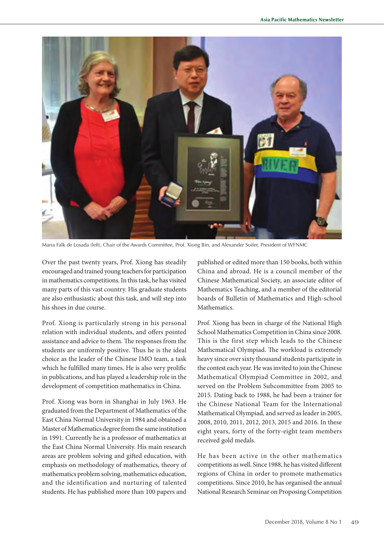

Maria Falk de Losada (left), Chair of the Awards Committee, Prof. Xiong Bin, and Alexander Soifer, President of WFNMC

Over the past twenty years, Prof. Xiong has steadily encouraged and trained young teachers for participation in mathematics competitions. In this task, he has visited many parts of this vast country. His graduate students are also enthusiastic about this task, and will step into his shoes in due course.

Prof. Xiong is particularly strong in his personal relation with individual students, and offers pointed assistance and advice to them. The responses from the students are uniformly positive. Thus he is the ideal choice as the leader of the Chinese IMO team, a task which he fulfilled many times. He is also very prolific in publications, and has played a leadership role in the development of competition mathematics in China.

Prof. Xiong was born in Shanghai in July 1963. He graduated from the Department of Mathematics of the East China Normal University in 1984 and obtained a Master of Mathematics degree from the same institution in 1991. Currently he is a professor of mathematics at the East China Normal University. His main research areas are problem solving and gifted education, with emphasis on methodology of mathematics, theory of mathematics problem solving, mathematics education, and the identification and nurturing of talented students. He has published more than 100 papers and

published or edited more than 150 books, both within China and abroad. He is a council member of the Chinese Mathematical Society, an associate editor of Mathematics Teaching, and a member of the editorial boards of Bulletin of Mathematics and High-school Mathematics.

Prof. Xiong has been in charge of the National High School Mathematics Competition in China since 2008. This is the first step which leads to the Chinese Mathematical Olympiad. The workload is extremely heavy since over sixty thousand students participate in the contest each year. He was invited to join the Chinese Mathematical Olympiad Committee in 2002, and served on the Problem Subcommittee from 2005 to 2015. Dating back to 1988, he had been a trainer for the Chinese National Team for the International Mathematical Olympiad, and served as leader in 2005, 2008, 2010, 2011, 2012, 2013, 2015 and 2016. In these eight years, forty of the forty-eight team members received gold medals.

He has been active in the other mathematics competitions as well. Since 1988, he has visited different regions of China in order to promote mathematics competitions. Since 2010, he has organised the annual National Research Seminar on Proposing Competition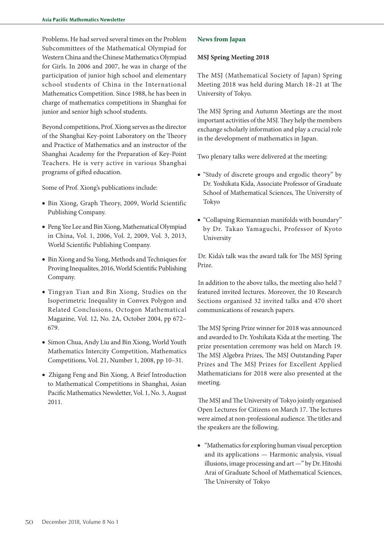Problems. He had served several times on the Problem Subcommittees of the Mathematical Olympiad for Western China and the Chinese Mathematics Olympiad for Girls. In 2006 and 2007, he was in charge of the participation of junior high school and elementary school students of China in the International Mathematics Competition. Since 1988, he has been in charge of mathematics competitions in Shanghai for junior and senior high school students.

Beyond competitions, Prof. Xiong serves as the director of the Shanghai Key-point Laboratory on the Theory and Practice of Mathematics and an instructor of the Shanghai Academy for the Preparation of Key-Point Teachers. He is very active in various Shanghai programs of gifted education.

Some of Prof. Xiong's publications include:

- Bin Xiong, Graph Theory, 2009, World Scientific Publishing Company.
- Peng Yee Lee and Bin Xiong, Mathematical Olympiad in China, Vol. 1, 2006, Vol. 2, 2009, Vol. 3, 2013, World Scientific Publishing Company.
- Bin Xiong and Su Yong, Methods and Techniques for Proving Inequalites, 2016, World Scientific Publishing Company.
- Tingyan Tian and Bin Xiong, Studies on the Isoperimetric Inequality in Convex Polygon and Related Conclusions, Octogon Mathematical Magazine, Vol. 12, No. 2A, October 2004, pp 672– 679.
- Simon Chua, Andy Liu and Bin Xiong, World Youth Mathematics Intercity Competition, Mathematics Competitions, Vol. 21, Number 1, 2008, pp 10–31.
- Zhigang Feng and Bin Xiong, A Brief Introduction to Mathematical Competitions in Shanghai, Asian Pacific Mathematics Newsletter, Vol. 1, No. 3, August 2011.

#### **News from Japan**

#### **MSJ Spring Meeting 2018**

The MSJ (Mathematical Society of Japan) Spring Meeting 2018 was held during March 18–21 at The University of Tokyo.

The MSJ Spring and Autumn Meetings are the most important activities of the MSJ. They help the members exchange scholarly information and play a crucial role in the development of mathematics in Japan.

Two plenary talks were delivered at the meeting:

- "Study of discrete groups and ergodic theory" by Dr. Yoshikata Kida, Associate Professor of Graduate School of Mathematical Sciences, The University of Tokyo
- "Collapsing Riemannian manifolds with boundary" by Dr. Takao Yamaguchi, Professor of Kyoto University

Dr. Kida's talk was the award talk for The MSJ Spring Prize.

In addition to the above talks, the meeting also held 7 featured invited lectures. Moreover, the 10 Research Sections organised 32 invited talks and 470 short communications of research papers.

The MSJ Spring Prize winner for 2018 was announced and awarded to Dr. Yoshikata Kida at the meeting. The prize presentation ceremony was held on March 19. The MSJ Algebra Prizes, The MSJ Outstanding Paper Prizes and The MSJ Prizes for Excellent Applied Mathematicians for 2018 were also presented at the meeting.

The MSJ and The University of Tokyo jointly organised Open Lectures for Citizens on March 17. The lectures were aimed at non-professional audience. The titles and the speakers are the following.

• "Mathematics for exploring human visual perception and its applications — Harmonic analysis, visual illusions, image processing and art —" by Dr. Hitoshi Arai of Graduate School of Mathematical Sciences, The University of Tokyo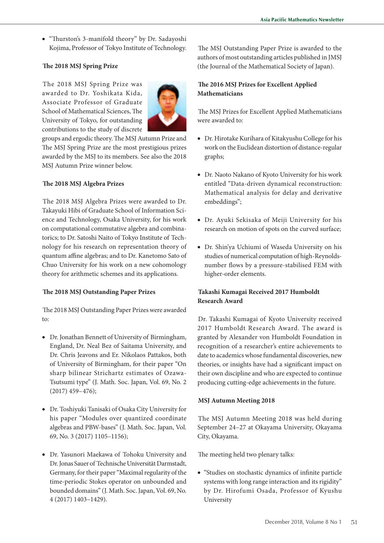• "Thurston's 3-manifold theory" by Dr. Sadayoshi Kojima, Professor of Tokyo Institute of Technology.

## **The 2018 MSJ Spring Prize**

The 2018 MSJ Spring Prize was awarded to Dr. Yoshikata Kida, Associate Professor of Graduate School of Mathematical Sciences, The University of Tokyo, for outstanding contributions to the study of discrete



groups and ergodic theory. The MSJ Autumn Prize and The MSJ Spring Prize are the most prestigious prizes awarded by the MSJ to its members. See also the 2018 MSJ Autumn Prize winner below.

# **The 2018 MSJ Algebra Prizes**

The 2018 MSJ Algebra Prizes were awarded to Dr. Takayuki Hibi of Graduate School of Information Science and Technology, Osaka University, for his work on computational commutative algebra and combinatorics; to Dr. Satoshi Naito of Tokyo Institute of Technology for his research on representation theory of quantum affine algebras; and to Dr. Kanetomo Sato of Chuo University for his work on a new cohomology theory for arithmetic schemes and its applications.

## **The 2018 MSJ Outstanding Paper Prizes**

The 2018 MSJ Outstanding Paper Prizes were awarded to:

- Dr. Jonathan Bennett of University of Birmingham, England, Dr. Neal Bez of Saitama University, and Dr. Chris Jeavons and Er. Nikolaos Pattakos, both of University of Birmingham, for their paper "On sharp bilinear Strichartz estimates of Ozawa-Tsutsumi type" (J. Math. Soc. Japan, Vol. 69, No. 2 (2017) 459–476);
- Dr. Toshiyuki Tanisaki of Osaka City University for his paper "Modules over quantized coordinate algebras and PBW-bases" (J. Math. Soc. Japan, Vol. 69, No. 3 (2017) 1105–1156);
- Dr. Yasunori Maekawa of Tohoku University and Dr. Jonas Sauer of Technische Universität Darmstadt, Germany, for their paper "Maximal regularity of the time-periodic Stokes operator on unbounded and bounded domains" (J. Math. Soc. Japan, Vol. 69, No. 4 (2017) 1403–1429).

The MSJ Outstanding Paper Prize is awarded to the authors of most outstanding articles published in JMSJ (the Journal of the Mathematical Society of Japan).

# **The 2016 MSJ Prizes for Excellent Applied Mathematicians**

The MSJ Prizes for Excellent Applied Mathematicians were awarded to:

- Dr. Hirotake Kurihara of Kitakyushu College for his work on the Euclidean distortion of distance-regular graphs;
- Dr. Naoto Nakano of Kyoto University for his work entitled "Data-driven dynamical reconstruction: Mathematical analysis for delay and derivative embeddings";
- Dr. Ayuki Sekisaka of Meiji University for his research on motion of spots on the curved surface;
- Dr. Shin'ya Uchiumi of Waseda University on his studies of numerical computation of high-Reynoldsnumber flows by a pressure-stabilised FEM with higher-order elements.

# **Takashi Kumagai Received 2017 Humboldt Research Award**

Dr. Takashi Kumagai of Kyoto University received 2017 Humboldt Research Award. The award is granted by Alexander von Humboldt Foundation in recognition of a researcher's entire achievements to date to academics whose fundamental discoveries, new theories, or insights have had a significant impact on their own discipline and who are expected to continue producing cutting-edge achievements in the future.

# **MSJ Autumn Meeting 2018**

The MSJ Autumn Meeting 2018 was held during September 24–27 at Okayama University, Okayama City, Okayama.

The meeting held two plenary talks:

• "Studies on stochastic dynamics of infinite particle systems with long range interaction and its rigidity" by Dr. Hirofumi Osada, Professor of Kyushu University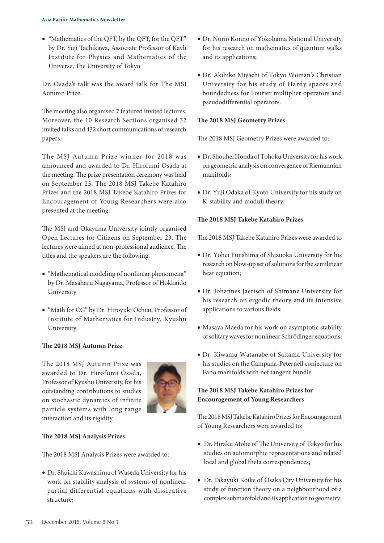• "Mathematics of the QFT, by the QFT, for the QFT" by Dr. Yuji Tachikawa, Associate Professor of Kavli Institute for Physics and Mathematics of the Universe, The University of Tokyo

Dr. Osada's talk was the award talk for The MSJ Autumn Prize.

The meeting also organised 7 featured invited lectures. Moreover, the 10 Research Sections organised 32 invited talks and 432 short communications of research papers.

The MSJ Autumn Prize winner for 2018 was announced and awarded to Dr. Hirofumi Osada at the meeting. The prize presentation ceremony was held on September 25. The 2018 MSJ Takebe Katahiro Prizes and the 2018 MSJ Takebe Katahiro Prizes for Encouragement of Young Researchers were also presented at the meeting.

The MSJ and Okayama University jointly organised Open Lectures for Citizens on September 23. The lectures were aimed at non-professional audience. The titles and the speakers are the following.

- "Mathematical modeling of nonlinear phenomena" by Dr. Masaharu Nagayama, Professor of Hokkaido University
- "Math for CG" by Dr. Hiroyuki Ochiai, Professor of Institute of Mathematics for Industry, Kyushu University.

## **The 2018 MSJ Autumn Prize**

The 2018 MSJ Autumn Prize was awarded to Dr. Hirofumi Osada, Professor of Kyushu University, for his outstanding contributions to studies on stochastic dynamics of infinite particle systems with long range interaction and its rigidity.



## **The 2018 MSJ Analysis Prizes**

The 2018 MSJ Analysis Prizes were awarded to:

• Dr. Shuichi Kawashima of Waseda University for his work on stability analysis of systems of nonlinear partial differential equations with dissipative structure;

- Dr. Norio Konno of Yokohama National University for his research on mathematics of quantum walks and its applications;
- Dr. Akihiko Miyachi of Tokyo Woman's Christian University for his study of Hardy spaces and boundedness for Fourier multiplier operators and pseudodifferential operators.

# **The 2018 MSJ Geometry Prizes**

The 2018 MSJ Geometry Prizes were awarded to:

- Dr. Shouhei Honda of Tohoku University for his work on geometric analysis on convergence of Riemannian manifolds;
- Dr. Yuji Odaka of Kyoto University for his study on K-stability and moduli theory.

# **The 2018 MSJ Takebe Katahiro Prizes**

The 2018 MSJ Takebe Katahiro Prizes were awarded to

- Dr. Yohei Fujishima of Shizuoka University for his research on blow-up set of solutions for the semilinear heat equation;
- Dr. Johannes Jaerisch of Shimane University for his research on ergodic theory and its intensive applications to various fields;
- Masaya Maeda for his work on asymptotic stability of solitary waves for nonlinear Schrōdinger equations;
- Dr. Kiwamu Watanabe of Saitama University for his studies on the Campana-Peternell conjecture on Fano manifolds with nef tangent bundle.

# **The 2018 MSJ Takebe Katahiro Prizes for Encouragement of Young Researchers**

The 2018 MSJ Takebe Katahiro Prizes for Encouragement of Young Researchers were awarded to:

- Dr. Hiraku Atobe of The University of Tokyo for his studies on automorphic representations and related local and global theta correspondences;
- Dr. Takayuki Koike of Osaka City University for his study of function theory on a neighbourhood of a complex submanifold and its application to geometry;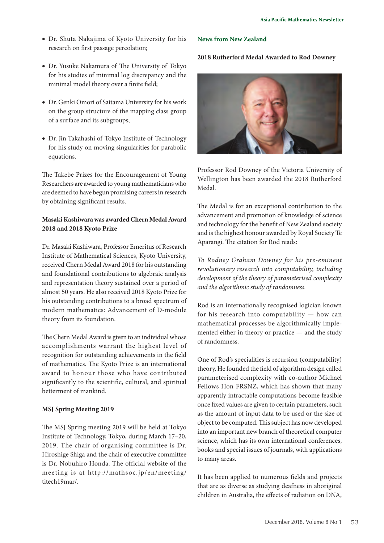- Dr. Shuta Nakajima of Kyoto University for his research on first passage percolation;
- Dr. Yusuke Nakamura of The University of Tokyo for his studies of minimal log discrepancy and the minimal model theory over a finite field;
- Dr. Genki Omori of Saitama University for his work on the group structure of the mapping class group of a surface and its subgroups;
- Dr. Jin Takahashi of Tokyo Institute of Technology for his study on moving singularities for parabolic equations.

The Takebe Prizes for the Encouragement of Young Researchers are awarded to young mathematicians who are deemed to have begun promising careers in research by obtaining significant results.

# **Masaki Kashiwara was awarded Chern Medal Award 2018 and 2018 Kyoto Prize**

Dr. Masaki Kashiwara, Professor Emeritus of Research Institute of Mathematical Sciences, Kyoto University, received Chern Medal Award 2018 for his outstanding and foundational contributions to algebraic analysis and representation theory sustained over a period of almost 50 years. He also received 2018 Kyoto Prize for his outstanding contributions to a broad spectrum of modern mathematics: Advancement of D-module theory from its foundation.

The Chern Medal Award is given to an individual whose accomplishments warrant the highest level of recognition for outstanding achievements in the field of mathematics. The Kyoto Prize is an international award to honour those who have contributed significantly to the scientific, cultural, and spiritual betterment of mankind.

#### **MSJ Spring Meeting 2019**

The MSJ Spring meeting 2019 will be held at Tokyo Institute of Technology, Tokyo, during March 17–20, 2019. The chair of organising committee is Dr. Hiroshige Shiga and the chair of executive committee is Dr. Nobuhiro Honda. The official website of the meeting is at http://mathsoc.jp/en/meeting/ titech19mar/.

## **News from New Zealand**

## **2018 Rutherford Medal Awarded to Rod Downey**



Professor Rod Downey of the Victoria University of Wellington has been awarded the 2018 Rutherford Medal.

The Medal is for an exceptional contribution to the advancement and promotion of knowledge of science and technology for the benefit of New Zealand society and is the highest honour awarded by Royal Society Te Aparangi. The citation for Rod reads:

*To Rodney Graham Downey for his pre-eminent revolutionary research into computability, including development of the theory of parameterised complexity and the algorithmic study of randomness.*

Rod is an internationally recognised logician known for his research into computability — how can mathematical processes be algorithmically implemented either in theory or practice — and the study of randomness.

One of Rod's specialities is recursion (computability) theory. He founded the field of algorithm design called parameterised complexity with co-author Michael Fellows Hon FRSNZ, which has shown that many apparently intractable computations become feasible once fixed values are given to certain parameters, such as the amount of input data to be used or the size of object to be computed. This subject has now developed into an important new branch of theoretical computer science, which has its own international conferences, books and special issues of journals, with applications to many areas.

It has been applied to numerous fields and projects that are as diverse as studying deafness in aboriginal children in Australia, the effects of radiation on DNA,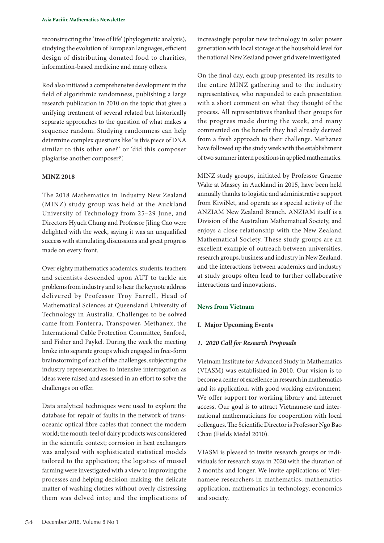reconstructing the 'tree of life' (phylogenetic analysis), studying the evolution of European languages, efficient design of distributing donated food to charities, information-based medicine and many others.

Rod also initiated a comprehensive development in the field of algorithmic randomness, publishing a large research publication in 2010 on the topic that gives a unifying treatment of several related but historically separate approaches to the question of what makes a sequence random. Studying randomness can help determine complex questions like 'is this piece of DNA similar to this other one?' or 'did this composer plagiarise another composer?'.

#### **MINZ 2018**

The 2018 Mathematics in Industry New Zealand (MINZ) study group was held at the Auckland University of Technology from 25–29 June, and Directors Hyuck Chung and Professor Jiling Cao were delighted with the week, saying it was an unqualified success with stimulating discussions and great progress made on every front.

Over eighty mathematics academics, students, teachers and scientists descended upon AUT to tackle six problems from industry and to hear the keynote address delivered by Professor Troy Farrell, Head of Mathematical Sciences at Queensland University of Technology in Australia. Challenges to be solved came from Fonterra, Transpower, Methanex, the International Cable Protection Committee, Sanford, and Fisher and Paykel. During the week the meeting broke into separate groups which engaged in free-form brainstorming of each of the challenges, subjecting the industry representatives to intensive interrogation as ideas were raised and assessed in an effort to solve the challenges on offer.

Data analytical techniques were used to explore the database for repair of faults in the network of transoceanic optical fibre cables that connect the modern world; the mouth-feel of dairy products was considered in the scientific context; corrosion in heat exchangers was analysed with sophisticated statistical models tailored to the application; the logistics of mussel farming were investigated with a view to improving the processes and helping decision-making; the delicate matter of washing clothes without overly distressing them was delved into; and the implications of increasingly popular new technology in solar power generation with local storage at the household level for the national New Zealand power grid were investigated.

On the final day, each group presented its results to the entire MINZ gathering and to the industry representatives, who responded to each presentation with a short comment on what they thought of the process. All representatives thanked their groups for the progress made during the week, and many commented on the benefit they had already derived from a fresh approach to their challenge. Methanex have followed up the study week with the establishment of two summer intern positions in applied mathematics.

MINZ study groups, initiated by Professor Graeme Wake at Massey in Auckland in 2015, have been held annually thanks to logistic and administrative support from KiwiNet, and operate as a special activity of the ANZIAM New Zealand Branch. ANZIAM itself is a Division of the Australian Mathematical Society, and enjoys a close relationship with the New Zealand Mathematical Society. These study groups are an excellent example of outreach between universities, research groups, business and industry in New Zealand, and the interactions between academics and industry at study groups often lead to further collaborative interactions and innovations.

## **News from Vietnam**

## **I. Major Upcoming Events**

#### *1. 2020 Call for Research Proposals*

Vietnam Institute for Advanced Study in Mathematics (VIASM) was established in 2010. Our vision is to become a center of excellence in research in mathematics and its application, with good working environment. We offer support for working library and internet access. Our goal is to attract Vietnamese and international mathematicians for cooperation with local colleagues. The Scientific Director is Professor Ngo Bao Chau (Fields Medal 2010).

VIASM is pleased to invite research groups or individuals for research stays in 2020 with the duration of 2 months and longer. We invite applications of Vietnamese researchers in mathematics, mathematics application, mathematics in technology, economics and society.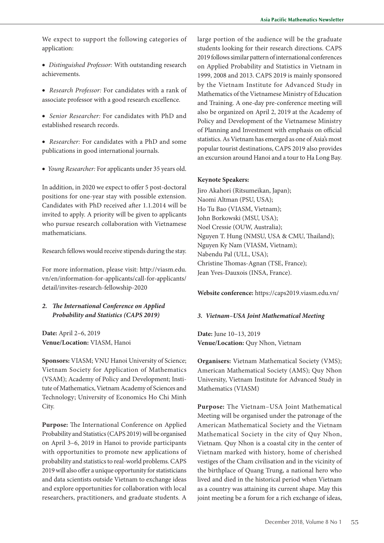We expect to support the following categories of application:

- • *Distinguished Professor:* With outstanding research achievements.
- • *Research Professor:* For candidates with a rank of associate professor with a good research excellence.
- • *Senior Researcher:* For candidates with PhD and established research records.
- • *Researcher:* For candidates with a PhD and some publications in good international journals.
- • *Young Researcher:* For applicants under 35 years old.

In addition, in 2020 we expect to offer 5 post-doctoral positions for one-year stay with possible extension. Candidates with PhD received after 1.1.2014 will be invited to apply. A priority will be given to applicants who pursue research collaboration with Vietnamese mathematicians.

Research fellows would receive stipends during the stay.

For more information, please visit: http://viasm.edu. vn/en/information-for-applicants/call-for-applicants/ detail/invites-research-fellowship-2020

## *2. The International Conference on Applied Probability and Statistics (CAPS 2019)*

**Date:** April 2–6, 2019 **Venue/Location:** VIASM, Hanoi

**Sponsors:** VIASM; VNU Hanoi University of Science; Vietnam Society for Application of Mathematics (VSAM); Academy of Policy and Development; Institute of Mathematics, Vietnam Academy of Sciences and Technology; University of Economics Ho Chi Minh City.

**Purpose:** The International Conference on Applied Probability and Statistics (CAPS 2019) will be organised on April 3–6, 2019 in Hanoi to provide participants with opportunities to promote new applications of probability and statistics to real-world problems. CAPS 2019 will also offer a unique opportunity for statisticians and data scientists outside Vietnam to exchange ideas and explore opportunities for collaboration with local researchers, practitioners, and graduate students. A

large portion of the audience will be the graduate students looking for their research directions. CAPS 2019 follows similar pattern of international conferences on Applied Probability and Statistics in Vietnam in 1999, 2008 and 2013. CAPS 2019 is mainly sponsored by the Vietnam Institute for Advanced Study in Mathematics of the Vietnamese Ministry of Education and Training. A one-day pre-conference meeting will also be organized on April 2, 2019 at the Academy of Policy and Development of the Vietnamese Ministry of Planning and Investment with emphasis on official statistics. As Vietnam has emerged as one of Asia's most popular tourist destinations, CAPS 2019 also provides an excursion around Hanoi and a tour to Ha Long Bay.

#### **Keynote Speakers:**

Jiro Akahori (Ritsumeikan, Japan); Naomi Altman (PSU, USA); Ho Tu Bao (VIASM, Vietnam); John Borkowski (MSU, USA); Noel Cressie (OUW, Australia); Nguyen T. Hung (NMSU, USA & CMU, Thailand); Nguyen Ky Nam (VIASM, Vietnam); Nabendu Pal (ULL, USA); Christine Thomas-Agnan (TSE, France); Jean Yves-Dauxois (INSA, France).

**Website conference:** https://caps2019.viasm.edu.vn/

#### *3. Vietnam–USA Joint Mathematical Meeting*

**Date:** June 10–13, 2019 **Venue/Location:** Quy Nhon, Vietnam

**Organisers:** Vietnam Mathematical Society (VMS); American Mathematical Society (AMS); Quy Nhon University, Vietnam Institute for Advanced Study in Mathematics (VIASM)

**Purpose:** The Vietnam–USA Joint Mathematical Meeting will be organised under the patronage of the American Mathematical Society and the Vietnam Mathematical Society in the city of Quy Nhon, Vietnam. Quy Nhon is a coastal city in the center of Vietnam marked with history, home of cherished vestiges of the Cham civilisation and in the vicinity of the birthplace of Quang Trung, a national hero who lived and died in the historical period when Vietnam as a country was attaining its current shape. May this joint meeting be a forum for a rich exchange of ideas,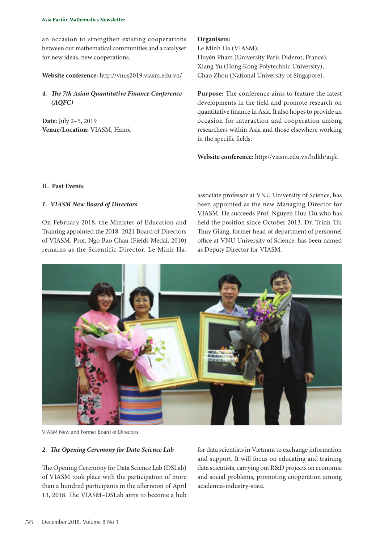an occasion to strengthen existing cooperations between our mathematical communities and a catalyser for new ideas, new cooperations.

**Website conference:** http://vnus2019.viasm.edu.vn/

*4. The 7th Asian Quantitative Finance Conference (AQFC)*

**Date:** July 2–5, 2019 **Venue/Location:** VIASM, Hanoi **Organisers:**

Le Minh Ha (VIASM); Huyên Pham (University Paris Diderot, France); Xiang Yu (Hong Kong Polytechnic University); Chao Zhou (National University of Singapore).

**Purpose:** The conference aims to feature the latest developments in the field and promote research on quantitative finance in Asia. It also hopes to provide an occasion for interaction and cooperation among researchers within Asia and those elsewhere working in the specific fields.

**Website conference:** http://viasm.edu.vn/hdkh/aqfc

## **II. Past Events**

#### *1. VIASM New Board of Directors*

On February 2018, the Minister of Education and Training appointed the 2018–2021 Board of Directors of VIASM. Prof. Ngo Bao Chau (Fields Medal, 2010) remains as the Scientific Director. Le Minh Ha,

associate professor at VNU University of Science, has been appointed as the new Managing Director for VIASM. He succeeds Prof. Nguyen Huu Du who has held the position since October 2013. Dr. Trinh Thi Thuy Giang, former head of department of personnel office at VNU University of Science, has been named as Deputy Director for VIASM.



VIASM New and Former Board of Directors

#### *2. The Opening Ceremony for Data Science Lab*

The Opening Ceremony for Data Science Lab (DSLab) of VIASM took place with the participation of more than a hundred participants in the afternoon of April 13, 2018. The VIASM–DSLab aims to become a hub

for data scientists in Vietnam to exchange information and support. It will focus on educating and training data scientists, carrying out R&D projects on economic and social problems, promoting cooperation among academia-industry-state.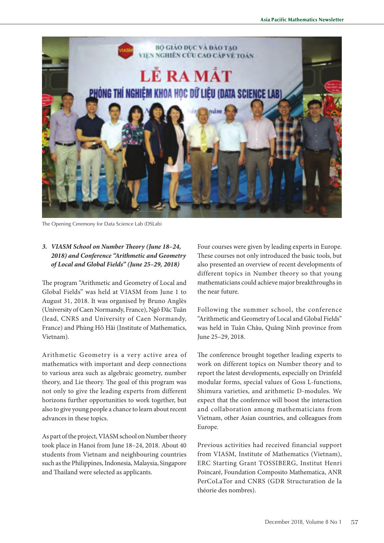

The Opening Ceremony for Data Science Lab (DSLab)

# *3. VIASM School on Number Theory (June 18–24, 2018) and Conference "Arithmetic and Geometry of Local and Global Fields" (June 25–29, 2018)*

The program "Arithmetic and Geometry of Local and Global Fields" was held at VIASM from June 1 to August 31, 2018. It was organised by Bruno Anglès (University of Caen Normandy, France), Ngô Đăc Tuãn (lead, CNRS and University of Caen Normandy, France) and Phùng HÔ Hăi (Institute of Mathematics, Vietnam).

Arithmetic Geometry is a very active area of mathematics with important and deep connections to various area such as algebraic geometry, number theory, and Lie theory. The goal of this program was not only to give the leading experts from different horizons further opportunities to work together, but also to give young people a chance to learn about recent advances in these topics.

As part of the project, VIASM school on Number theory took place in Hanoi from June 18–24, 2018. About 40 students from Vietnam and neighbouring countries such as the Philippines, Indonesia, Malaysia, Singapore and Thailand were selected as applicants.

Four courses were given by leading experts in Europe. These courses not only introduced the basic tools, but also presented an overview of recent developments of different topics in Number theory so that young mathematicians could achieve major breakthroughs in the near future.

Following the summer school, the conference "Arithmetic and Geometry of Local and Global Fields" was held in Tuân Châu, Quâng Ninh province from June 25–29, 2018.

The conference brought together leading experts to work on different topics on Number theory and to report the latest developments, especially on Drinfeld modular forms, special values of Goss L-functions, Shimura varieties, and arithmetic D-modules. We expect that the conference will boost the interaction and collaboration among mathematicians from Vietnam, other Asian countries, and colleagues from Europe.

Previous activities had received financial support from VIASM, Institute of Mathematics (Vietnam), ERC Starting Grant TOSSIBERG, Institut Henri Poincaré, Foundation Composito Mathematica, ANR PerCoLaTor and CNRS (GDR Structuration de la théorie des nombres).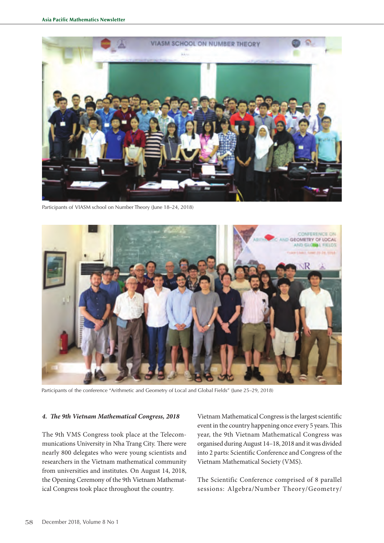

Participants of VIASM school on Number Theory (June 18–24, 2018)

![](_page_12_Picture_3.jpeg)

Participants of the conference "Arithmetic and Geometry of Local and Global Fields" (June 25–29, 2018)

#### *4. The 9th Vietnam Mathematical Congress, 2018*

The 9th VMS Congress took place at the Telecommunications University in Nha Trang City. There were nearly 800 delegates who were young scientists and researchers in the Vietnam mathematical community from universities and institutes. On August 14, 2018, the Opening Ceremony of the 9th Vietnam Mathematical Congress took place throughout the country.

Vietnam Mathematical Congress is the largest scientific event in the country happening once every 5 years. This year, the 9th Vietnam Mathematical Congress was organised during August 14–18, 2018 and it was divided into 2 parts: Scientific Conference and Congress of the Vietnam Mathematical Society (VMS).

The Scientific Conference comprised of 8 parallel sessions: Algebra/Number Theory/Geometry/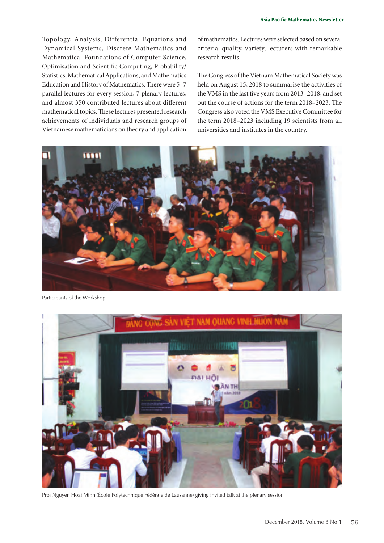Topology, Analysis, Differential Equations and Dynamical Systems, Discrete Mathematics and Mathematical Foundations of Computer Science, Optimisation and Scientific Computing, Probability/ Statistics, Mathematical Applications, and Mathematics Education and History of Mathematics. There were 5–7 parallel lectures for every session, 7 plenary lectures, and almost 350 contributed lectures about different mathematical topics. These lectures presented research achievements of individuals and research groups of Vietnamese mathematicians on theory and application of mathematics. Lectures were selected based on several criteria: quality, variety, lecturers with remarkable research results.

The Congress of the Vietnam Mathematical Society was held on August 15, 2018 to summarise the activities of the VMS in the last five years from 2013–2018, and set out the course of actions for the term 2018–2023. The Congress also voted the VMS Executive Committee for the term 2018–2023 including 19 scientists from all universities and institutes in the country.

![](_page_13_Picture_4.jpeg)

Participants of the Workshop

![](_page_13_Picture_6.jpeg)

Prof Nguyen Hoai Minh (École Polytechnique Fédérale de Lausanne) giving invited talk at the plenary session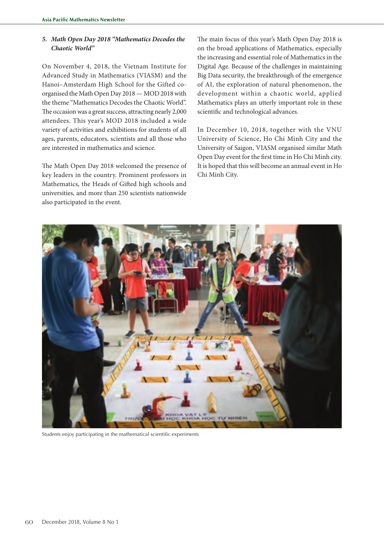# *5. Math Open Day 2018 "Mathematics Decodes the Chaotic World"*

On November 4, 2018, the Vietnam Institute for Advanced Study in Mathematics (VIASM) and the Hanoi–Amsterdam High School for the Gifted coorganised the Math Open Day 2018 — MOD 2018 with the theme "Mathematics Decodes the Chaotic World". The occasion was a great success, attracting nearly 2,000 attendees. This year's MOD 2018 included a wide variety of activities and exhibitions for students of all ages, parents, educators, scientists and all those who are interested in mathematics and science.

The Math Open Day 2018 welcomed the presence of key leaders in the country. Prominent professors in Mathematics, the Heads of Gifted high schools and universities, and more than 250 scientists nationwide also participated in the event.

The main focus of this year's Math Open Day 2018 is on the broad applications of Mathematics, especially the increasing and essential role of Mathematics in the Digital Age. Because of the challenges in maintaining Big Data security, the breakthrough of the emergence of AI, the exploration of natural phenomenon, the development within a chaotic world, applied Mathematics plays an utterly important role in these scientific and technological advances.

In December 10, 2018, together with the VNU University of Science, Ho Chi Minh City and the University of Saigon, VIASM organised similar Math Open Day event for the first time in Ho Chi Minh city. It is hoped that this will become an annual event in Ho Chi Minh City.

![](_page_14_Picture_6.jpeg)

Students enjoy participating in the mathematical scientific experiments